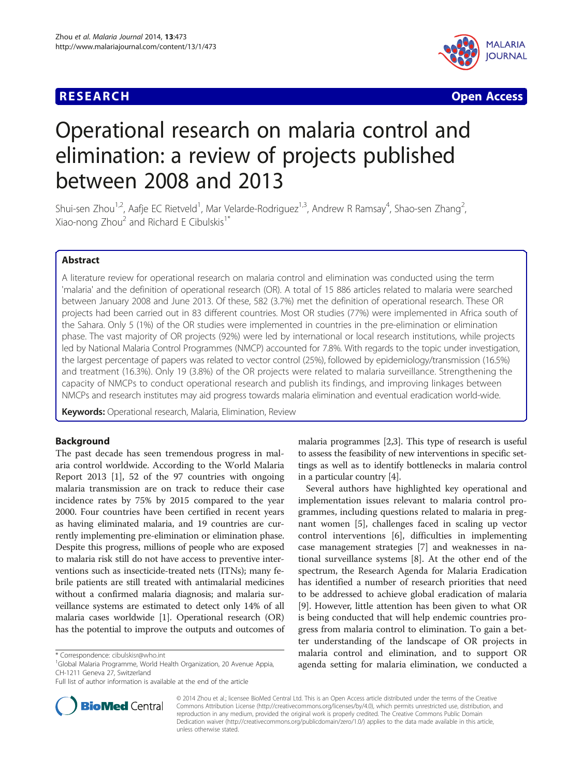# **RESEARCH CHEAR CHEAR CHEAR CHEAR CHEAR CHEAR CHEAR CHEAR CHEAR CHEAR CHEAR CHEAR CHEAR CHEAR CHEAR CHEAR CHEAR**



# Operational research on malaria control and elimination: a review of projects published between 2008 and 2013

Shui-sen Zhou<sup>1,2</sup>, Aafje EC Rietveld<sup>1</sup>, Mar Velarde-Rodriguez<sup>1,3</sup>, Andrew R Ramsay<sup>4</sup>, Shao-sen Zhang<sup>2</sup> , Xiao-nong Zhou<sup>2</sup> and Richard E Cibulskis<sup>1\*</sup>

# Abstract

A literature review for operational research on malaria control and elimination was conducted using the term 'malaria' and the definition of operational research (OR). A total of 15 886 articles related to malaria were searched between January 2008 and June 2013. Of these, 582 (3.7%) met the definition of operational research. These OR projects had been carried out in 83 different countries. Most OR studies (77%) were implemented in Africa south of the Sahara. Only 5 (1%) of the OR studies were implemented in countries in the pre-elimination or elimination phase. The vast majority of OR projects (92%) were led by international or local research institutions, while projects led by National Malaria Control Programmes (NMCP) accounted for 7.8%. With regards to the topic under investigation, the largest percentage of papers was related to vector control (25%), followed by epidemiology/transmission (16.5%) and treatment (16.3%). Only 19 (3.8%) of the OR projects were related to malaria surveillance. Strengthening the capacity of NMCPs to conduct operational research and publish its findings, and improving linkages between NMCPs and research institutes may aid progress towards malaria elimination and eventual eradication world-wide.

Keywords: Operational research, Malaria, Elimination, Review

# Background

The past decade has seen tremendous progress in malaria control worldwide. According to the World Malaria Report 2013 [[1\]](#page-6-0), 52 of the 97 countries with ongoing malaria transmission are on track to reduce their case incidence rates by 75% by 2015 compared to the year 2000. Four countries have been certified in recent years as having eliminated malaria, and 19 countries are currently implementing pre-elimination or elimination phase. Despite this progress, millions of people who are exposed to malaria risk still do not have access to preventive interventions such as insecticide-treated nets (ITNs); many febrile patients are still treated with antimalarial medicines without a confirmed malaria diagnosis; and malaria surveillance systems are estimated to detect only 14% of all malaria cases worldwide [[1](#page-6-0)]. Operational research (OR) has the potential to improve the outputs and outcomes of



Several authors have highlighted key operational and implementation issues relevant to malaria control programmes, including questions related to malaria in pregnant women [[5](#page-6-0)], challenges faced in scaling up vector control interventions [\[6](#page-6-0)], difficulties in implementing case management strategies [[7](#page-6-0)] and weaknesses in national surveillance systems [\[8](#page-6-0)]. At the other end of the spectrum, the Research Agenda for Malaria Eradication has identified a number of research priorities that need to be addressed to achieve global eradication of malaria [[9\]](#page-6-0). However, little attention has been given to what OR is being conducted that will help endemic countries progress from malaria control to elimination. To gain a better understanding of the landscape of OR projects in malaria control and elimination, and to support OR agenda setting for malaria elimination, we conducted a



© 2014 Zhou et al.; licensee BioMed Central Ltd. This is an Open Access article distributed under the terms of the Creative Commons Attribution License [\(http://creativecommons.org/licenses/by/4.0\)](http://creativecommons.org/licenses/by/4.0), which permits unrestricted use, distribution, and reproduction in any medium, provided the original work is properly credited. The Creative Commons Public Domain Dedication waiver [\(http://creativecommons.org/publicdomain/zero/1.0/](http://creativecommons.org/publicdomain/zero/1.0/)) applies to the data made available in this article, unless otherwise stated.

<sup>\*</sup> Correspondence: [cibulskisr@who.int](mailto:cibulskisr@who.int) <sup>1</sup>

<sup>&</sup>lt;sup>1</sup>Global Malaria Programme, World Health Organization, 20 Avenue Appia, CH-1211 Geneva 27, Switzerland

Full list of author information is available at the end of the article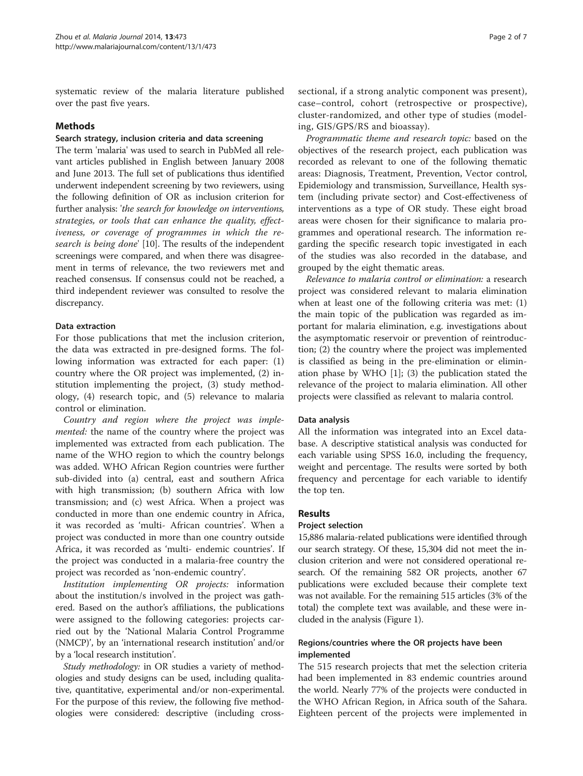systematic review of the malaria literature published over the past five years.

### Methods

#### Search strategy, inclusion criteria and data screening

The term 'malaria' was used to search in PubMed all relevant articles published in English between January 2008 and June 2013. The full set of publications thus identified underwent independent screening by two reviewers, using the following definition of OR as inclusion criterion for further analysis: 'the search for knowledge on interventions, strategies, or tools that can enhance the quality, effectiveness, or coverage of programmes in which the re-search is being done' [\[10](#page-6-0)]. The results of the independent screenings were compared, and when there was disagreement in terms of relevance, the two reviewers met and reached consensus. If consensus could not be reached, a third independent reviewer was consulted to resolve the discrepancy.

#### Data extraction

For those publications that met the inclusion criterion, the data was extracted in pre-designed forms. The following information was extracted for each paper: (1) country where the OR project was implemented, (2) institution implementing the project, (3) study methodology, (4) research topic, and (5) relevance to malaria control or elimination.

Country and region where the project was implemented: the name of the country where the project was implemented was extracted from each publication. The name of the WHO region to which the country belongs was added. WHO African Region countries were further sub-divided into (a) central, east and southern Africa with high transmission; (b) southern Africa with low transmission; and (c) west Africa. When a project was conducted in more than one endemic country in Africa, it was recorded as 'multi- African countries'. When a project was conducted in more than one country outside Africa, it was recorded as 'multi- endemic countries'. If the project was conducted in a malaria-free country the project was recorded as 'non-endemic country'.

Institution implementing OR projects: information about the institution/s involved in the project was gathered. Based on the author's affiliations, the publications were assigned to the following categories: projects carried out by the 'National Malaria Control Programme (NMCP)', by an 'international research institution' and/or by a 'local research institution'.

Study methodology: in OR studies a variety of methodologies and study designs can be used, including qualitative, quantitative, experimental and/or non-experimental. For the purpose of this review, the following five methodologies were considered: descriptive (including crosssectional, if a strong analytic component was present), case–control, cohort (retrospective or prospective), cluster-randomized, and other type of studies (model-

ing, GIS/GPS/RS and bioassay). Programmatic theme and research topic: based on the objectives of the research project, each publication was recorded as relevant to one of the following thematic areas: Diagnosis, Treatment, Prevention, Vector control, Epidemiology and transmission, Surveillance, Health system (including private sector) and Cost-effectiveness of interventions as a type of OR study. These eight broad areas were chosen for their significance to malaria programmes and operational research. The information regarding the specific research topic investigated in each of the studies was also recorded in the database, and grouped by the eight thematic areas.

Relevance to malaria control or elimination: a research project was considered relevant to malaria elimination when at least one of the following criteria was met: (1) the main topic of the publication was regarded as important for malaria elimination, e.g. investigations about the asymptomatic reservoir or prevention of reintroduction; (2) the country where the project was implemented is classified as being in the pre-elimination or elimination phase by WHO [[1\]](#page-6-0); (3) the publication stated the relevance of the project to malaria elimination. All other projects were classified as relevant to malaria control.

#### Data analysis

All the information was integrated into an Excel database. A descriptive statistical analysis was conducted for each variable using SPSS 16.0, including the frequency, weight and percentage. The results were sorted by both frequency and percentage for each variable to identify the top ten.

# Results

#### Project selection

15,886 malaria-related publications were identified through our search strategy. Of these, 15,304 did not meet the inclusion criterion and were not considered operational research. Of the remaining 582 OR projects, another 67 publications were excluded because their complete text was not available. For the remaining 515 articles (3% of the total) the complete text was available, and these were included in the analysis (Figure [1\)](#page-2-0).

# Regions/countries where the OR projects have been implemented

The 515 research projects that met the selection criteria had been implemented in 83 endemic countries around the world. Nearly 77% of the projects were conducted in the WHO African Region, in Africa south of the Sahara. Eighteen percent of the projects were implemented in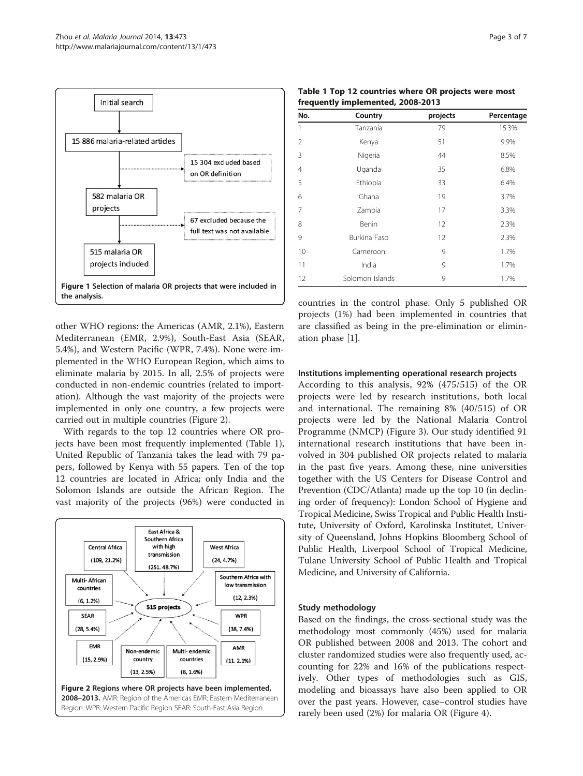<span id="page-2-0"></span>

other WHO regions: the Americas (AMR, 2.1%), Eastern Mediterranean (EMR, 2.9%), South-East Asia (SEAR, 5.4%), and Western Pacific (WPR, 7.4%). None were implemented in the WHO European Region, which aims to eliminate malaria by 2015. In all, 2.5% of projects were conducted in non-endemic countries (related to importation). Although the vast majority of the projects were implemented in only one country, a few projects were carried out in multiple countries (Figure 2).

With regards to the top 12 countries where OR projects have been most frequently implemented (Table 1), United Republic of Tanzania takes the lead with 79 papers, followed by Kenya with 55 papers. Ten of the top 12 countries are located in Africa; only India and the Solomon Islands are outside the African Region. The vast majority of the projects (96%) were conducted in



Table 1 Top 12 countries where OR projects were most frequently implemented, 2008-2013

| No.            | Country         | projects          | Percentage |
|----------------|-----------------|-------------------|------------|
| 1              | Tanzania        | 79                | 15.3%      |
| $\overline{2}$ | Kenya           | 51                | 9.9%       |
| 3              | Nigeria         | 44                | 8.5%       |
| $\overline{4}$ | Uganda          | 35                | 6.8%       |
| 5              | Ethiopia        | 33                | 6.4%       |
| 6              | Ghana           | 19                | 3.7%       |
| 7              | Zambia          | 17                | 3.3%       |
| 8              | Benin           | $12 \overline{ }$ | 2.3%       |
| 9              | Burkina Faso    | $12 \overline{ }$ | 2.3%       |
| 10             | Cameroon        | 9                 | 1.7%       |
| 11             | India           | 9                 | 1.7%       |
| 12             | Solomon Islands | 9                 | 1.7%       |

countries in the control phase. Only 5 published OR projects (1%) had been implemented in countries that are classified as being in the pre-elimination or elimination phase [[1\]](#page-6-0).

## Institutions implementing operational research projects

According to this analysis, 92% (475/515) of the OR projects were led by research institutions, both local and international. The remaining 8% (40/515) of OR projects were led by the National Malaria Control Programme (NMCP) (Figure [3\)](#page-3-0). Our study identified 91 international research institutions that have been involved in 304 published OR projects related to malaria in the past five years. Among these, nine universities together with the US Centers for Disease Control and Prevention (CDC/Atlanta) made up the top 10 (in declining order of frequency): London School of Hygiene and Tropical Medicine, Swiss Tropical and Public Health Institute, University of Oxford, Karolinska Institutet, University of Queensland, Johns Hopkins Bloomberg School of Public Health, Liverpool School of Tropical Medicine, Tulane University School of Public Health and Tropical Medicine, and University of California.

#### Study methodology

Based on the findings, the cross-sectional study was the methodology most commonly (45%) used for malaria OR published between 2008 and 2013. The cohort and cluster randomized studies were also frequently used, accounting for 22% and 16% of the publications respectively. Other types of methodologies such as GIS, modeling and bioassays have also been applied to OR over the past years. However, case–control studies have rarely been used (2%) for malaria OR (Figure [4\)](#page-3-0).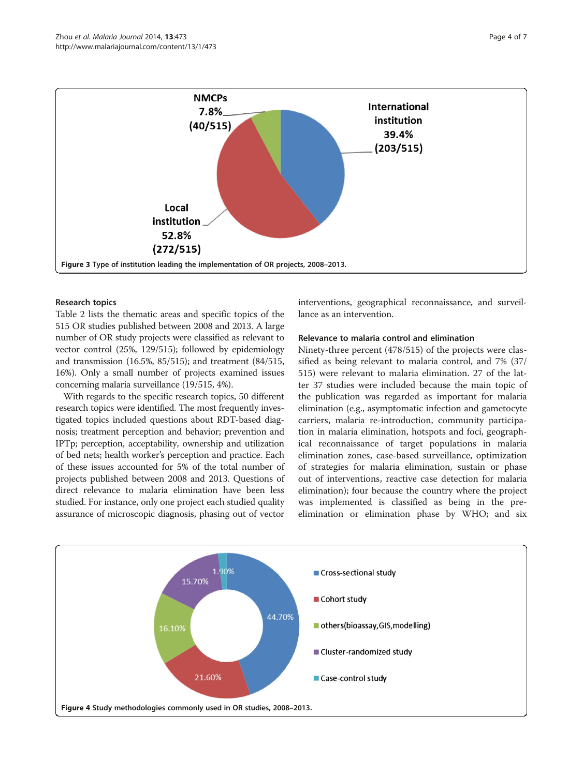<span id="page-3-0"></span>

#### Research topics

Table [2](#page-4-0) lists the thematic areas and specific topics of the 515 OR studies published between 2008 and 2013. A large number of OR study projects were classified as relevant to vector control (25%, 129/515); followed by epidemiology and transmission (16.5%, 85/515); and treatment (84/515, 16%). Only a small number of projects examined issues concerning malaria surveillance (19/515, 4%).

With regards to the specific research topics, 50 different research topics were identified. The most frequently investigated topics included questions about RDT-based diagnosis; treatment perception and behavior; prevention and IPTp; perception, acceptability, ownership and utilization of bed nets; health worker's perception and practice. Each of these issues accounted for 5% of the total number of projects published between 2008 and 2013. Questions of direct relevance to malaria elimination have been less studied. For instance, only one project each studied quality assurance of microscopic diagnosis, phasing out of vector

interventions, geographical reconnaissance, and surveillance as an intervention.

#### Relevance to malaria control and elimination

Ninety-three percent (478/515) of the projects were classified as being relevant to malaria control, and 7% (37/ 515) were relevant to malaria elimination. 27 of the latter 37 studies were included because the main topic of the publication was regarded as important for malaria elimination (e.g., asymptomatic infection and gametocyte carriers, malaria re-introduction, community participation in malaria elimination, hotspots and foci, geographical reconnaissance of target populations in malaria elimination zones, case-based surveillance, optimization of strategies for malaria elimination, sustain or phase out of interventions, reactive case detection for malaria elimination); four because the country where the project was implemented is classified as being in the preelimination or elimination phase by WHO; and six

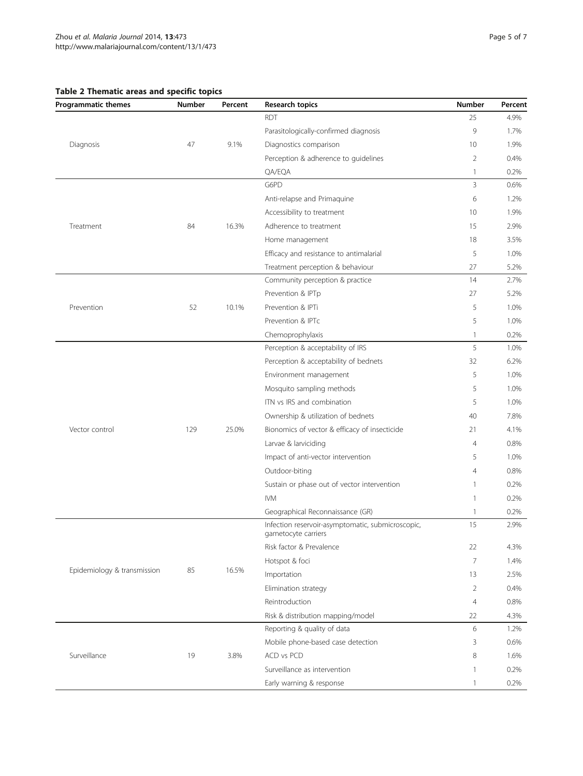# <span id="page-4-0"></span>Table 2 Thematic areas and specific topics

| <b>Programmatic themes</b>  | <b>Number</b> | Percent | <b>Research topics</b>                                                   | <b>Number</b>  | Percent |
|-----------------------------|---------------|---------|--------------------------------------------------------------------------|----------------|---------|
|                             | 47            |         | <b>RDT</b>                                                               | 25             | 4.9%    |
|                             |               | 9.1%    | Parasitologically-confirmed diagnosis                                    | 9              | 1.7%    |
| Diagnosis                   |               |         | Diagnostics comparison                                                   | 10             | 1.9%    |
|                             |               |         | Perception & adherence to guidelines                                     | $\overline{2}$ | 0.4%    |
|                             |               |         | QA/EQA                                                                   | 1              | 0.2%    |
|                             |               |         | G6PD                                                                     | 3              | 0.6%    |
|                             |               |         | Anti-relapse and Primaquine                                              | 6              | 1.2%    |
|                             | 84            | 16.3%   | Accessibility to treatment                                               | 10             | 1.9%    |
| Treatment                   |               |         | Adherence to treatment                                                   | 15             | 2.9%    |
|                             |               |         | Home management                                                          | 18             | 3.5%    |
|                             |               |         | Efficacy and resistance to antimalarial                                  | 5              | 1.0%    |
|                             |               |         | Treatment perception & behaviour                                         | 27             | 5.2%    |
|                             | 52            | 10.1%   | Community perception & practice                                          | 14             | 2.7%    |
|                             |               |         | Prevention & IPTp                                                        | 27             | 5.2%    |
| Prevention                  |               |         | Prevention & IPTi                                                        | 5              | 1.0%    |
|                             |               |         | Prevention & IPTc                                                        | 5              | 1.0%    |
|                             |               |         | Chemoprophylaxis                                                         | $\mathbf{1}$   | 0.2%    |
|                             | 129           | 25.0%   | Perception & acceptability of IRS                                        | 5              | 1.0%    |
|                             |               |         | Perception & acceptability of bednets                                    | 32             | 6.2%    |
|                             |               |         | Environment management                                                   | 5              | 1.0%    |
|                             |               |         | Mosquito sampling methods                                                | 5              | 1.0%    |
|                             |               |         | ITN vs IRS and combination                                               | 5              | 1.0%    |
|                             |               |         | Ownership & utilization of bednets                                       | 40             | 7.8%    |
| Vector control              |               |         | Bionomics of vector & efficacy of insecticide                            | 21             | 4.1%    |
|                             |               |         | Larvae & larviciding                                                     | $\overline{4}$ | 0.8%    |
|                             |               |         | Impact of anti-vector intervention                                       | 5              | 1.0%    |
|                             |               |         | Outdoor-biting                                                           | 4              | 0.8%    |
|                             |               |         | Sustain or phase out of vector intervention                              | 1              | 0.2%    |
|                             |               |         | <b>IVM</b>                                                               | -1             | 0.2%    |
|                             |               |         | Geographical Reconnaissance (GR)                                         | 1              | 0.2%    |
|                             | 85            | 16.5%   | Infection reservoir-asymptomatic, submicroscopic,<br>gametocyte carriers | 15             | 2.9%    |
|                             |               |         | Risk factor & Prevalence                                                 | 22             | 4.3%    |
|                             |               |         | Hotspot & foci                                                           | $\overline{7}$ | 1.4%    |
| Epidemiology & transmission |               |         | Importation                                                              | 13             | 2.5%    |
|                             |               |         | Elimination strategy                                                     | $\overline{2}$ | 0.4%    |
|                             |               |         | Reintroduction                                                           | $\overline{4}$ | 0.8%    |
|                             |               |         | Risk & distribution mapping/model                                        | 22             | 4.3%    |
|                             |               |         | Reporting & quality of data                                              | 6              | 1.2%    |
|                             |               |         | Mobile phone-based case detection                                        | 3              | 0.6%    |
| Surveillance                | 19            | 3.8%    | ACD vs PCD                                                               | 8              | 1.6%    |
|                             |               |         | Surveillance as intervention                                             | 1              | 0.2%    |
|                             |               |         | Early warning & response                                                 | 1              | 0.2%    |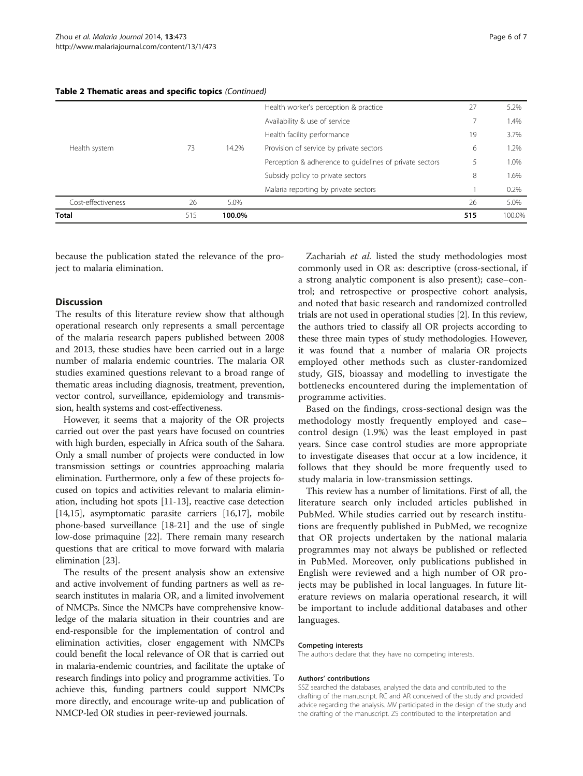| <b>Total</b>       | 515 | 100.0% |                                                         | 515 | 100.0% |
|--------------------|-----|--------|---------------------------------------------------------|-----|--------|
| Cost-effectiveness | 26  | 5.0%   |                                                         | 26  | 5.0%   |
|                    |     |        | Malaria reporting by private sectors                    |     | 0.2%   |
|                    |     |        | Subsidy policy to private sectors                       | 8   | 1.6%   |
|                    |     |        | Perception & adherence to quidelines of private sectors |     | 1.0%   |
| Health system      | 73  | 14.2%  | Provision of service by private sectors                 | 6   | 1.2%   |
|                    |     |        | Health facility performance                             | 19  | 3.7%   |
|                    |     |        | Availability & use of service                           |     | 1.4%   |
|                    |     |        | Health worker's perception & practice                   | 27  | 5.2%   |
|                    |     |        |                                                         |     |        |

#### Table 2 Thematic areas and specific topics (Continued)

because the publication stated the relevance of the project to malaria elimination.

#### **Discussion**

The results of this literature review show that although operational research only represents a small percentage of the malaria research papers published between 2008 and 2013, these studies have been carried out in a large number of malaria endemic countries. The malaria OR studies examined questions relevant to a broad range of thematic areas including diagnosis, treatment, prevention, vector control, surveillance, epidemiology and transmission, health systems and cost-effectiveness.

However, it seems that a majority of the OR projects carried out over the past years have focused on countries with high burden, especially in Africa south of the Sahara. Only a small number of projects were conducted in low transmission settings or countries approaching malaria elimination. Furthermore, only a few of these projects focused on topics and activities relevant to malaria elimination, including hot spots [\[11](#page-6-0)-[13](#page-6-0)], reactive case detection [[14,15](#page-6-0)], asymptomatic parasite carriers [[16,17\]](#page-6-0), mobile phone-based surveillance [\[18-21\]](#page-6-0) and the use of single low-dose primaquine [[22](#page-6-0)]. There remain many research questions that are critical to move forward with malaria elimination [[23](#page-6-0)].

The results of the present analysis show an extensive and active involvement of funding partners as well as research institutes in malaria OR, and a limited involvement of NMCPs. Since the NMCPs have comprehensive knowledge of the malaria situation in their countries and are end-responsible for the implementation of control and elimination activities, closer engagement with NMCPs could benefit the local relevance of OR that is carried out in malaria-endemic countries, and facilitate the uptake of research findings into policy and programme activities. To achieve this, funding partners could support NMCPs more directly, and encourage write-up and publication of NMCP-led OR studies in peer-reviewed journals.

Zachariah et al. listed the study methodologies most commonly used in OR as: descriptive (cross-sectional, if a strong analytic component is also present); case–control; and retrospective or prospective cohort analysis, and noted that basic research and randomized controlled trials are not used in operational studies [[2\]](#page-6-0). In this review, the authors tried to classify all OR projects according to these three main types of study methodologies. However, it was found that a number of malaria OR projects employed other methods such as cluster-randomized study, GIS, bioassay and modelling to investigate the bottlenecks encountered during the implementation of programme activities.

Based on the findings, cross-sectional design was the methodology mostly frequently employed and case– control design (1.9%) was the least employed in past years. Since case control studies are more appropriate to investigate diseases that occur at a low incidence, it follows that they should be more frequently used to study malaria in low-transmission settings.

This review has a number of limitations. First of all, the literature search only included articles published in PubMed. While studies carried out by research institutions are frequently published in PubMed, we recognize that OR projects undertaken by the national malaria programmes may not always be published or reflected in PubMed. Moreover, only publications published in English were reviewed and a high number of OR projects may be published in local languages. In future literature reviews on malaria operational research, it will be important to include additional databases and other languages.

#### Competing interests

The authors declare that they have no competing interests.

#### Authors' contributions

SSZ searched the databases, analysed the data and contributed to the drafting of the manuscript. RC and AR conceived of the study and provided advice regarding the analysis. MV participated in the design of the study and the drafting of the manuscript. ZS contributed to the interpretation and